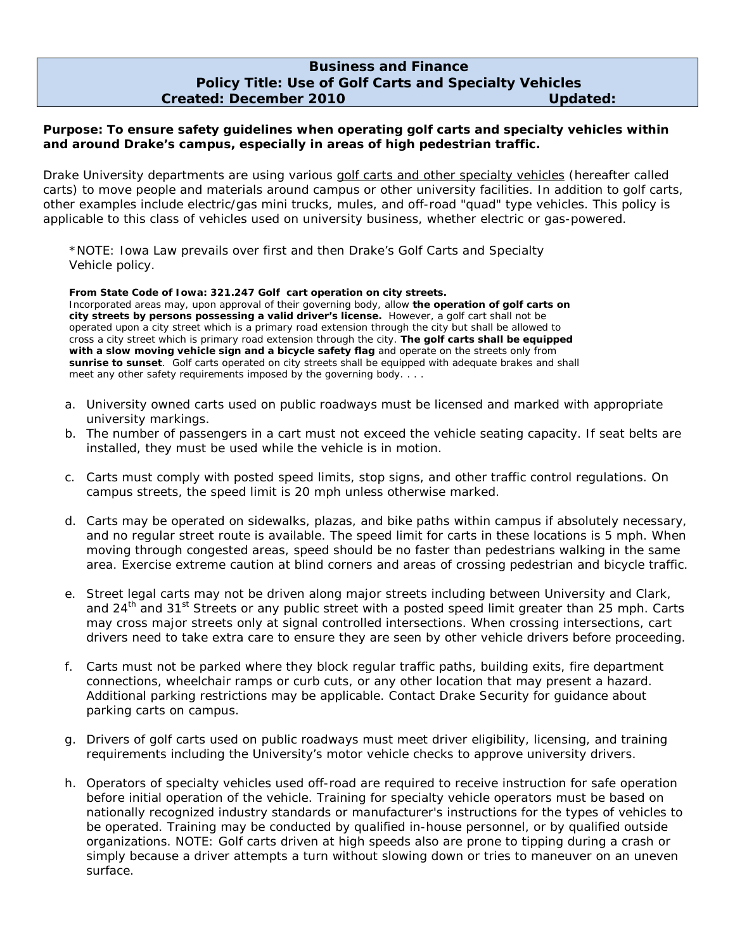## **Business and Finance Policy Title: Use of Golf Carts and Specialty Vehicles Created: December 2010 Updated:**

## **Purpose: To ensure safety guidelines when operating golf carts and specialty vehicles within and around Drake's campus, especially in areas of high pedestrian traffic.**

Drake University departments are using various golf carts and other specialty vehicles (hereafter called carts) to move people and materials around campus or other university facilities. In addition to golf carts, other examples include electric/gas mini trucks, mules, and off-road "quad" type vehicles. This policy is applicable to this class of vehicles used on university business, whether electric or gas-powered.

\*NOTE: Iowa Law prevails over first and then Drake's Golf Carts and Specialty Vehicle policy.

## **From State Code of Iowa: 321.247 Golf cart operation on city streets.**

Incorporated areas may, upon approval of their governing body, allow **the operation of golf carts on city streets by persons possessing a valid driver's license.** However, a golf cart shall not be operated upon a city street which is a primary road extension through the city but shall be allowed to cross a city street which is primary road extension through the city. **The golf carts shall be equipped with a slow moving vehicle sign and a bicycle safety flag** and operate on the streets only from **sunrise to sunset**. Golf carts operated on city streets shall be equipped with adequate brakes and shall meet any other safety requirements imposed by the governing body. . . .

- a. University owned carts used on public roadways must be licensed and marked with appropriate university markings.
- b. The number of passengers in a cart must not exceed the vehicle seating capacity. If seat belts are installed, they must be used while the vehicle is in motion.
- c. Carts must comply with posted speed limits, stop signs, and other traffic control regulations. On campus streets, the speed limit is 20 mph unless otherwise marked.
- d. Carts may be operated on sidewalks, plazas, and bike paths within campus if absolutely necessary, and no regular street route is available. The speed limit for carts in these locations is 5 mph. When moving through congested areas, speed should be no faster than pedestrians walking in the same area. Exercise extreme caution at blind corners and areas of crossing pedestrian and bicycle traffic.
- e. Street legal carts may not be driven along major streets including between University and Clark, and  $24<sup>th</sup>$  and  $31<sup>st</sup>$  Streets or any public street with a posted speed limit greater than 25 mph. Carts may cross major streets only at signal controlled intersections. When crossing intersections, cart drivers need to take extra care to ensure they are seen by other vehicle drivers before proceeding.
- f. Carts must not be parked where they block regular traffic paths, building exits, fire department connections, wheelchair ramps or curb cuts, or any other location that may present a hazard. Additional parking restrictions may be applicable. Contact Drake Security for guidance about parking carts on campus.
- g. Drivers of golf carts used on public roadways must meet driver eligibility, licensing, and training requirements including the University's motor vehicle checks to approve university drivers.
- h. Operators of specialty vehicles used off-road are required to receive instruction for safe operation before initial operation of the vehicle. Training for specialty vehicle operators must be based on nationally recognized industry standards or manufacturer's instructions for the types of vehicles to be operated. Training may be conducted by qualified in-house personnel, or by qualified outside organizations. NOTE: Golf carts driven at high speeds also are prone to tipping during a crash or simply because a driver attempts a turn without slowing down or tries to maneuver on an uneven surface.